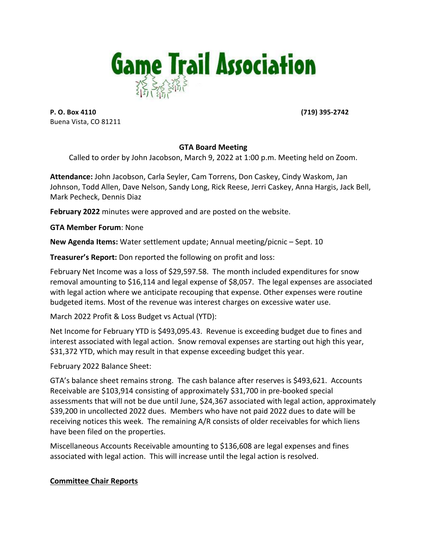

**P. O. Box 4110 (719)** 395-2742 Buena Vista, CO 81211

## **GTA Board Meeting**

Called to order by John Jacobson, March 9, 2022 at 1:00 p.m. Meeting held on Zoom.

Attendance: John Jacobson, Carla Seyler, Cam Torrens, Don Caskey, Cindy Waskom, Jan Johnson, Todd Allen, Dave Nelson, Sandy Long, Rick Reese, Jerri Caskey, Anna Hargis, Jack Bell, Mark Pecheck, Dennis Diaz

**February 2022** minutes were approved and are posted on the website.

**GTA Member Forum: None** 

**New Agenda Items:** Water settlement update; Annual meeting/picnic – Sept. 10

**Treasurer's Report:** Don reported the following on profit and loss:

February Net Income was a loss of \$29,597.58. The month included expenditures for snow removal amounting to \$16,114 and legal expense of \$8,057. The legal expenses are associated with legal action where we anticipate recouping that expense. Other expenses were routine budgeted items. Most of the revenue was interest charges on excessive water use.

March 2022 Profit & Loss Budget vs Actual (YTD):

Net Income for February YTD is \$493,095.43. Revenue is exceeding budget due to fines and interest associated with legal action. Snow removal expenses are starting out high this year, \$31,372 YTD, which may result in that expense exceeding budget this year.

February 2022 Balance Sheet:

GTA's balance sheet remains strong. The cash balance after reserves is \$493,621. Accounts Receivable are \$103,914 consisting of approximately \$31,700 in pre-booked special assessments that will not be due until June, \$24,367 associated with legal action, approximately \$39,200 in uncollected 2022 dues. Members who have not paid 2022 dues to date will be receiving notices this week. The remaining A/R consists of older receivables for which liens have been filed on the properties.

Miscellaneous Accounts Receivable amounting to \$136,608 are legal expenses and fines associated with legal action. This will increase until the legal action is resolved.

## **Committee Chair Reports**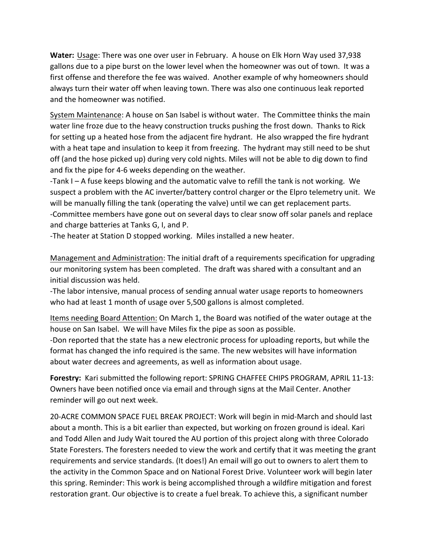**Water:** Usage: There was one over user in February. A house on Elk Horn Way used 37,938 gallons due to a pipe burst on the lower level when the homeowner was out of town. It was a first offense and therefore the fee was waived. Another example of why homeowners should always turn their water off when leaving town. There was also one continuous leak reported and the homeowner was notified.

System Maintenance: A house on San Isabel is without water. The Committee thinks the main water line froze due to the heavy construction trucks pushing the frost down. Thanks to Rick for setting up a heated hose from the adjacent fire hydrant. He also wrapped the fire hydrant with a heat tape and insulation to keep it from freezing. The hydrant may still need to be shut off (and the hose picked up) during very cold nights. Miles will not be able to dig down to find and fix the pipe for 4-6 weeks depending on the weather.

-Tank  $I - A$  fuse keeps blowing and the automatic valve to refill the tank is not working. We suspect a problem with the AC inverter/battery control charger or the Elpro telemetry unit. We will be manually filling the tank (operating the valve) until we can get replacement parts. -Committee members have gone out on several days to clear snow off solar panels and replace and charge batteries at Tanks G, I, and P.

-The heater at Station D stopped working. Miles installed a new heater.

Management and Administration: The initial draft of a requirements specification for upgrading our monitoring system has been completed. The draft was shared with a consultant and an initial discussion was held.

-The labor intensive, manual process of sending annual water usage reports to homeowners who had at least 1 month of usage over 5,500 gallons is almost completed.

Items needing Board Attention: On March 1, the Board was notified of the water outage at the house on San Isabel. We will have Miles fix the pipe as soon as possible.

-Don reported that the state has a new electronic process for uploading reports, but while the format has changed the info required is the same. The new websites will have information about water decrees and agreements, as well as information about usage.

Forestry: Kari submitted the following report: SPRING CHAFFEE CHIPS PROGRAM, APRIL 11-13: Owners have been notified once via email and through signs at the Mail Center. Another reminder will go out next week.

20-ACRE COMMON SPACE FUEL BREAK PROJECT: Work will begin in mid-March and should last about a month. This is a bit earlier than expected, but working on frozen ground is ideal. Kari and Todd Allen and Judy Wait toured the AU portion of this project along with three Colorado State Foresters. The foresters needed to view the work and certify that it was meeting the grant requirements and service standards. (It does!) An email will go out to owners to alert them to the activity in the Common Space and on National Forest Drive. Volunteer work will begin later this spring. Reminder: This work is being accomplished through a wildfire mitigation and forest restoration grant. Our objective is to create a fuel break. To achieve this, a significant number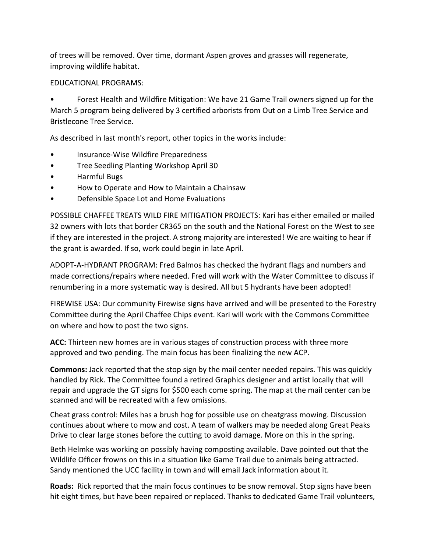of trees will be removed. Over time, dormant Aspen groves and grasses will regenerate, improving wildlife habitat.

### EDUCATIONAL PROGRAMS:

Forest Health and Wildfire Mitigation: We have 21 Game Trail owners signed up for the March 5 program being delivered by 3 certified arborists from Out on a Limb Tree Service and Bristlecone Tree Service.

As described in last month's report, other topics in the works include:

- Insurance-Wise Wildfire Preparedness
- Tree Seedling Planting Workshop April 30
- Harmful Bugs
- How to Operate and How to Maintain a Chainsaw
- Defensible Space Lot and Home Evaluations

POSSIBLE CHAFFEE TREATS WILD FIRE MITIGATION PROJECTS: Kari has either emailed or mailed 32 owners with lots that border CR365 on the south and the National Forest on the West to see if they are interested in the project. A strong majority are interested! We are waiting to hear if the grant is awarded. If so, work could begin in late April.

ADOPT-A-HYDRANT PROGRAM: Fred Balmos has checked the hydrant flags and numbers and made corrections/repairs where needed. Fred will work with the Water Committee to discuss if renumbering in a more systematic way is desired. All but 5 hydrants have been adopted!

FIREWISE USA: Our community Firewise signs have arrived and will be presented to the Forestry Committee during the April Chaffee Chips event. Kari will work with the Commons Committee on where and how to post the two signs.

**ACC:** Thirteen new homes are in various stages of construction process with three more approved and two pending. The main focus has been finalizing the new ACP.

**Commons:** Jack reported that the stop sign by the mail center needed repairs. This was quickly handled by Rick. The Committee found a retired Graphics designer and artist locally that will repair and upgrade the GT signs for \$500 each come spring. The map at the mail center can be scanned and will be recreated with a few omissions.

Cheat grass control: Miles has a brush hog for possible use on cheatgrass mowing. Discussion continues about where to mow and cost. A team of walkers may be needed along Great Peaks Drive to clear large stones before the cutting to avoid damage. More on this in the spring.

Beth Helmke was working on possibly having composting available. Dave pointed out that the Wildlife Officer frowns on this in a situation like Game Trail due to animals being attracted. Sandy mentioned the UCC facility in town and will email Jack information about it.

**Roads:** Rick reported that the main focus continues to be snow removal. Stop signs have been hit eight times, but have been repaired or replaced. Thanks to dedicated Game Trail volunteers,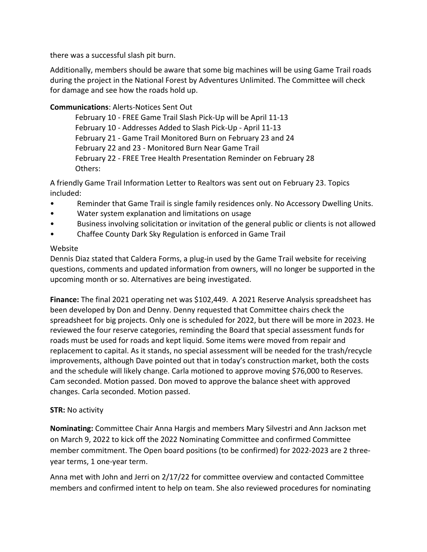there was a successful slash pit burn.

Additionally, members should be aware that some big machines will be using Game Trail roads during the project in the National Forest by Adventures Unlimited. The Committee will check for damage and see how the roads hold up.

# **Communications: Alerts-Notices Sent Out**

February 10 - FREE Game Trail Slash Pick-Up will be April 11-13 February 10 - Addresses Added to Slash Pick-Up - April 11-13 February 21 - Game Trail Monitored Burn on February 23 and 24 February 22 and 23 - Monitored Burn Near Game Trail February 22 - FREE Tree Health Presentation Reminder on February 28 Others:

A friendly Game Trail Information Letter to Realtors was sent out on February 23. Topics included:

- Reminder that Game Trail is single family residences only. No Accessory Dwelling Units.
- Water system explanation and limitations on usage
- Business involving solicitation or invitation of the general public or clients is not allowed
- Chaffee County Dark Sky Regulation is enforced in Game Trail

# Website

Dennis Diaz stated that Caldera Forms, a plug-in used by the Game Trail website for receiving questions, comments and updated information from owners, will no longer be supported in the upcoming month or so. Alternatives are being investigated.

**Finance:** The final 2021 operating net was \$102,449. A 2021 Reserve Analysis spreadsheet has been developed by Don and Denny. Denny requested that Committee chairs check the spreadsheet for big projects. Only one is scheduled for 2022, but there will be more in 2023. He reviewed the four reserve categories, reminding the Board that special assessment funds for roads must be used for roads and kept liquid. Some items were moved from repair and replacement to capital. As it stands, no special assessment will be needed for the trash/recycle improvements, although Dave pointed out that in today's construction market, both the costs and the schedule will likely change. Carla motioned to approve moving \$76,000 to Reserves. Cam seconded. Motion passed. Don moved to approve the balance sheet with approved changes. Carla seconded. Motion passed.

## **STR:** No activity

**Nominating:** Committee Chair Anna Hargis and members Mary Silvestri and Ann Jackson met on March 9, 2022 to kick off the 2022 Nominating Committee and confirmed Committee member commitment. The Open board positions (to be confirmed) for 2022-2023 are 2 threeyear terms, 1 one-year term.

Anna met with John and Jerri on 2/17/22 for committee overview and contacted Committee members and confirmed intent to help on team. She also reviewed procedures for nominating